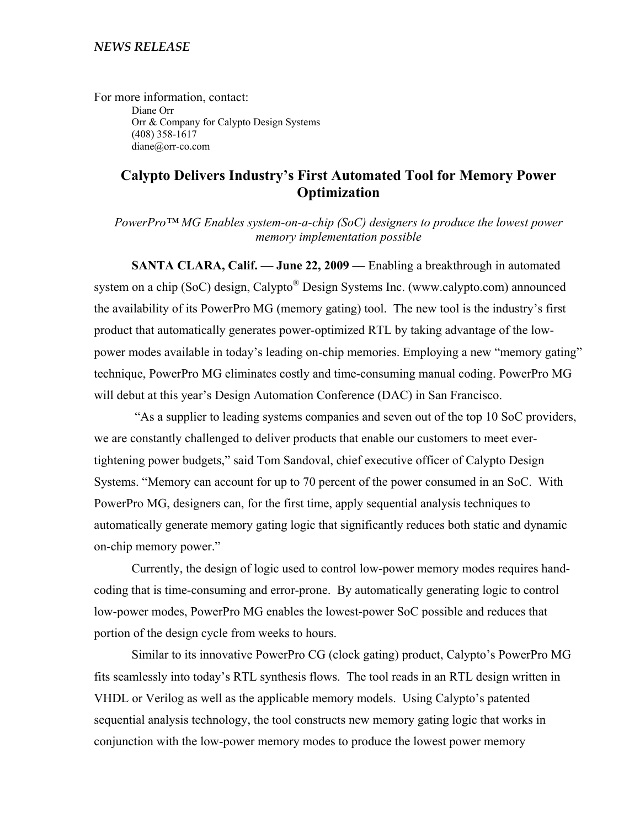For more information, contact: Diane Orr Orr & Company for Calypto Design Systems (408) 358-1617 diane@orr-co.com

# **Calypto Delivers Industry's First Automated Tool for Memory Power Optimization**

*PowerPro™ MG Enables system-on-a-chip (SoC) designers to produce the lowest power memory implementation possible* 

**SANTA CLARA, Calif. — June 22, 2009 —** Enabling a breakthrough in automated system on a chip (SoC) design, Calypto<sup>®</sup> Design Systems Inc. (www.calypto.com) announced the availability of its PowerPro MG (memory gating) tool. The new tool is the industry's first product that automatically generates power-optimized RTL by taking advantage of the lowpower modes available in today's leading on-chip memories. Employing a new "memory gating" technique, PowerPro MG eliminates costly and time-consuming manual coding. PowerPro MG will debut at this year's Design Automation Conference (DAC) in San Francisco.

 "As a supplier to leading systems companies and seven out of the top 10 SoC providers, we are constantly challenged to deliver products that enable our customers to meet evertightening power budgets," said Tom Sandoval, chief executive officer of Calypto Design Systems. "Memory can account for up to 70 percent of the power consumed in an SoC. With PowerPro MG, designers can, for the first time, apply sequential analysis techniques to automatically generate memory gating logic that significantly reduces both static and dynamic on-chip memory power."

Currently, the design of logic used to control low-power memory modes requires handcoding that is time-consuming and error-prone. By automatically generating logic to control low-power modes, PowerPro MG enables the lowest-power SoC possible and reduces that portion of the design cycle from weeks to hours.

Similar to its innovative PowerPro CG (clock gating) product, Calypto's PowerPro MG fits seamlessly into today's RTL synthesis flows. The tool reads in an RTL design written in VHDL or Verilog as well as the applicable memory models. Using Calypto's patented sequential analysis technology, the tool constructs new memory gating logic that works in conjunction with the low-power memory modes to produce the lowest power memory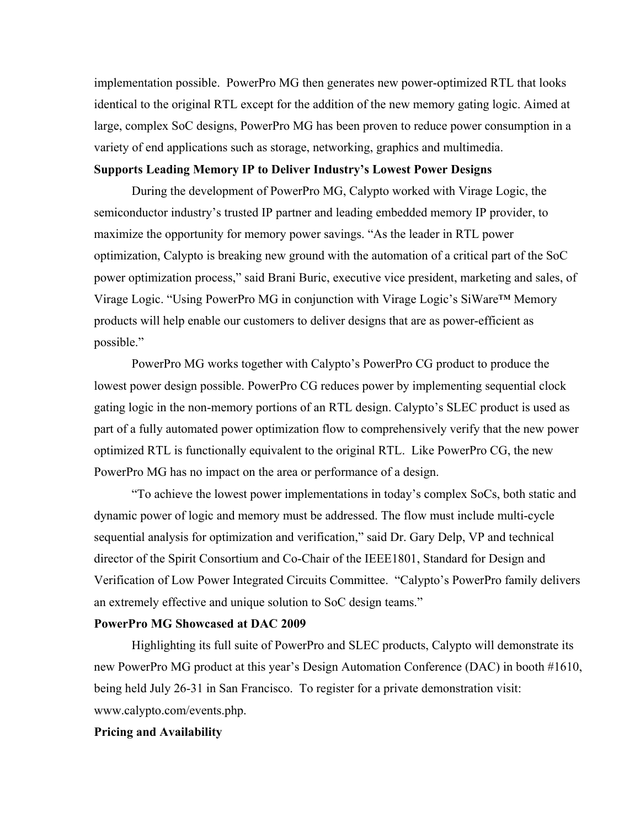implementation possible. PowerPro MG then generates new power-optimized RTL that looks identical to the original RTL except for the addition of the new memory gating logic. Aimed at large, complex SoC designs, PowerPro MG has been proven to reduce power consumption in a variety of end applications such as storage, networking, graphics and multimedia.

## **Supports Leading Memory IP to Deliver Industry's Lowest Power Designs**

During the development of PowerPro MG, Calypto worked with Virage Logic, the semiconductor industry's trusted IP partner and leading embedded memory IP provider, to maximize the opportunity for memory power savings. "As the leader in RTL power optimization, Calypto is breaking new ground with the automation of a critical part of the SoC power optimization process," said Brani Buric, executive vice president, marketing and sales, of Virage Logic. "Using PowerPro MG in conjunction with Virage Logic's SiWare™ Memory products will help enable our customers to deliver designs that are as power-efficient as possible."

PowerPro MG works together with Calypto's PowerPro CG product to produce the lowest power design possible. PowerPro CG reduces power by implementing sequential clock gating logic in the non-memory portions of an RTL design. Calypto's SLEC product is used as part of a fully automated power optimization flow to comprehensively verify that the new power optimized RTL is functionally equivalent to the original RTL. Like PowerPro CG, the new PowerPro MG has no impact on the area or performance of a design.

"To achieve the lowest power implementations in today's complex SoCs, both static and dynamic power of logic and memory must be addressed. The flow must include multi-cycle sequential analysis for optimization and verification," said Dr. Gary Delp, VP and technical director of the Spirit Consortium and Co-Chair of the IEEE1801, Standard for Design and Verification of Low Power Integrated Circuits Committee. "Calypto's PowerPro family delivers an extremely effective and unique solution to SoC design teams."

### **PowerPro MG Showcased at DAC 2009**

Highlighting its full suite of PowerPro and SLEC products, Calypto will demonstrate its new PowerPro MG product at this year's Design Automation Conference (DAC) in booth #1610, being held July 26-31 in San Francisco. To register for a private demonstration visit: www.calypto.com/events.php.

## **Pricing and Availability**